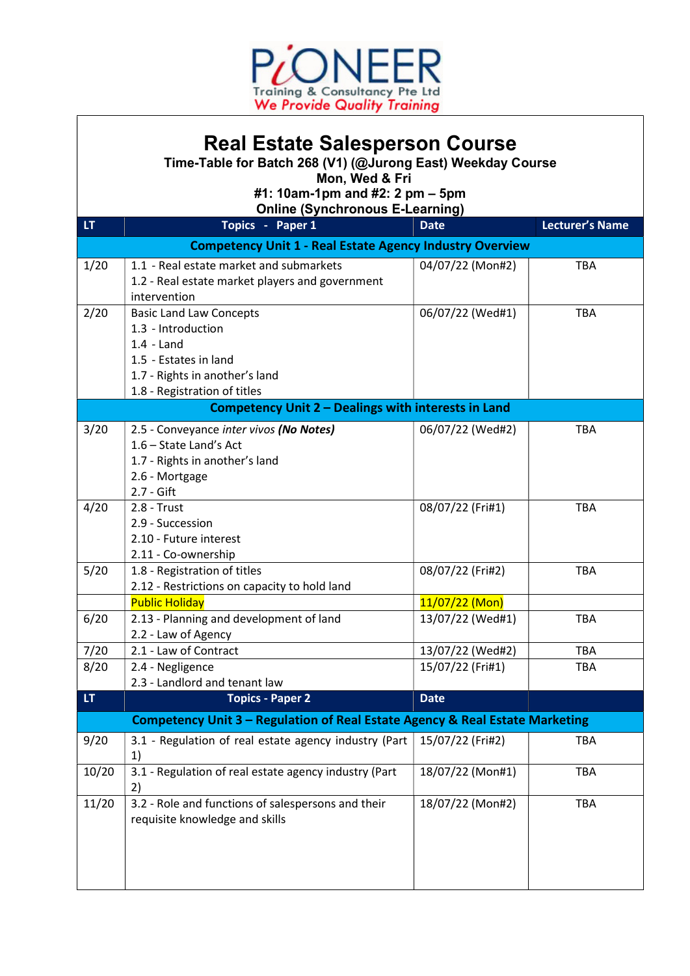

## Real Estate Salesperson Course

Time-Table for Batch 268 (V1) (@Jurong East) Weekday Course

Mon, Wed & Fri

#1: 10am-1pm and #2: 2 pm – 5pm

Online (Synchronous E-Learning)

| LT.                                                             | Topics - Paper 1                                                             | <b>Date</b>                          | <b>Lecturer's Name</b> |  |  |
|-----------------------------------------------------------------|------------------------------------------------------------------------------|--------------------------------------|------------------------|--|--|
| <b>Competency Unit 1 - Real Estate Agency Industry Overview</b> |                                                                              |                                      |                        |  |  |
| 1/20                                                            | 1.1 - Real estate market and submarkets                                      | 04/07/22 (Mon#2)                     | <b>TBA</b>             |  |  |
|                                                                 | 1.2 - Real estate market players and government                              |                                      |                        |  |  |
|                                                                 | intervention                                                                 |                                      |                        |  |  |
| 2/20                                                            | <b>Basic Land Law Concepts</b>                                               | 06/07/22 (Wed#1)                     | <b>TBA</b>             |  |  |
|                                                                 | 1.3 - Introduction                                                           |                                      |                        |  |  |
|                                                                 | $1.4 -$ Land                                                                 |                                      |                        |  |  |
|                                                                 | 1.5 - Estates in land                                                        |                                      |                        |  |  |
|                                                                 | 1.7 - Rights in another's land                                               |                                      |                        |  |  |
|                                                                 | 1.8 - Registration of titles                                                 |                                      |                        |  |  |
| Competency Unit 2 - Dealings with interests in Land             |                                                                              |                                      |                        |  |  |
| 3/20                                                            | 2.5 - Conveyance inter vivos (No Notes)                                      | 06/07/22 (Wed#2)                     | <b>TBA</b>             |  |  |
|                                                                 | 1.6 - State Land's Act                                                       |                                      |                        |  |  |
|                                                                 | 1.7 - Rights in another's land                                               |                                      |                        |  |  |
|                                                                 | 2.6 - Mortgage                                                               |                                      |                        |  |  |
|                                                                 | 2.7 - Gift                                                                   |                                      |                        |  |  |
| 4/20                                                            | $2.8 - Trust$                                                                | 08/07/22 (Fri#1)                     | <b>TBA</b>             |  |  |
|                                                                 | 2.9 - Succession                                                             |                                      |                        |  |  |
|                                                                 | 2.10 - Future interest                                                       |                                      |                        |  |  |
|                                                                 | 2.11 - Co-ownership                                                          |                                      |                        |  |  |
| 5/20                                                            | 1.8 - Registration of titles                                                 | 08/07/22 (Fri#2)                     | <b>TBA</b>             |  |  |
|                                                                 | 2.12 - Restrictions on capacity to hold land                                 |                                      |                        |  |  |
| 6/20                                                            | <b>Public Holiday</b><br>2.13 - Planning and development of land             | $11/07/22$ (Mon)<br>13/07/22 (Wed#1) | TBA                    |  |  |
|                                                                 | 2.2 - Law of Agency                                                          |                                      |                        |  |  |
| 7/20                                                            | 2.1 - Law of Contract                                                        | 13/07/22 (Wed#2)                     | TBA                    |  |  |
| 8/20                                                            | 2.4 - Negligence                                                             | 15/07/22 (Fri#1)                     | <b>TBA</b>             |  |  |
|                                                                 | 2.3 - Landlord and tenant law                                                |                                      |                        |  |  |
| LT.                                                             | <b>Topics - Paper 2</b>                                                      | <b>Date</b>                          |                        |  |  |
|                                                                 | Competency Unit 3 - Regulation of Real Estate Agency & Real Estate Marketing |                                      |                        |  |  |
| 9/20                                                            | 3.1 - Regulation of real estate agency industry (Part                        | 15/07/22 (Fri#2)                     | TBA                    |  |  |
|                                                                 | 1)                                                                           |                                      |                        |  |  |
| 10/20                                                           | 3.1 - Regulation of real estate agency industry (Part                        | 18/07/22 (Mon#1)                     | TBA                    |  |  |
|                                                                 | 2)                                                                           |                                      |                        |  |  |
| 11/20                                                           | 3.2 - Role and functions of salespersons and their                           | 18/07/22 (Mon#2)                     | TBA                    |  |  |
|                                                                 | requisite knowledge and skills                                               |                                      |                        |  |  |
|                                                                 |                                                                              |                                      |                        |  |  |
|                                                                 |                                                                              |                                      |                        |  |  |
|                                                                 |                                                                              |                                      |                        |  |  |
|                                                                 |                                                                              |                                      |                        |  |  |